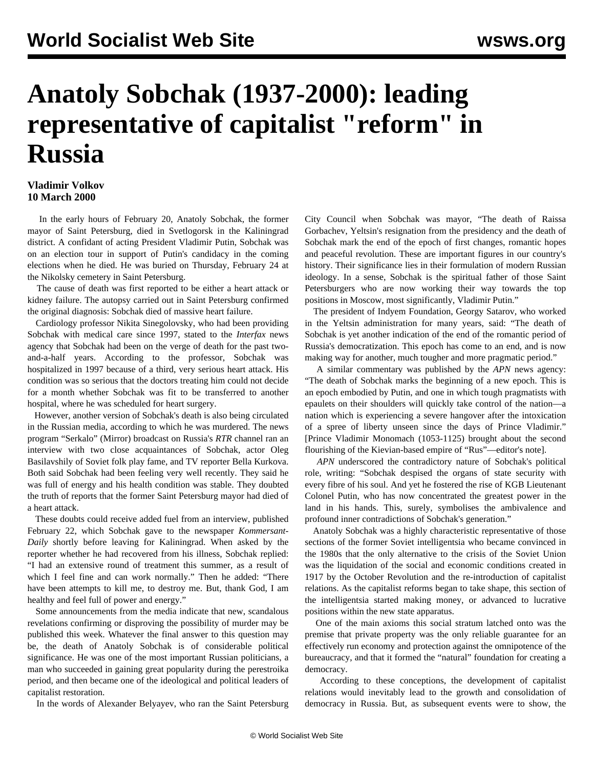## **Anatoly Sobchak (1937-2000): leading representative of capitalist "reform" in Russia**

## **Vladimir Volkov 10 March 2000**

 In the early hours of February 20, Anatoly Sobchak, the former mayor of Saint Petersburg, died in Svetlogorsk in the Kaliningrad district. A confidant of acting President Vladimir Putin, Sobchak was on an election tour in support of Putin's candidacy in the coming elections when he died. He was buried on Thursday, February 24 at the Nikolsky cemetery in Saint Petersburg.

 The cause of death was first reported to be either a heart attack or kidney failure. The autopsy carried out in Saint Petersburg confirmed the original diagnosis: Sobchak died of massive heart failure.

 Cardiology professor Nikita Sinegolovsky, who had been providing Sobchak with medical care since 1997, stated to the *Interfax* news agency that Sobchak had been on the verge of death for the past twoand-a-half years. According to the professor, Sobchak was hospitalized in 1997 because of a third, very serious heart attack. His condition was so serious that the doctors treating him could not decide for a month whether Sobchak was fit to be transferred to another hospital, where he was scheduled for heart surgery.

 However, another version of Sobchak's death is also being circulated in the Russian media, according to which he was murdered. The news program "Serkalo" (Mirror) broadcast on Russia's *RTR* channel ran an interview with two close acquaintances of Sobchak, actor Oleg Basilavshily of Soviet folk play fame, and TV reporter Bella Kurkova. Both said Sobchak had been feeling very well recently. They said he was full of energy and his health condition was stable. They doubted the truth of reports that the former Saint Petersburg mayor had died of a heart attack.

 These doubts could receive added fuel from an interview, published February 22, which Sobchak gave to the newspaper *Kommersant-Daily* shortly before leaving for Kaliningrad. When asked by the reporter whether he had recovered from his illness, Sobchak replied: "I had an extensive round of treatment this summer, as a result of which I feel fine and can work normally." Then he added: "There have been attempts to kill me, to destroy me. But, thank God, I am healthy and feel full of power and energy."

 Some announcements from the media indicate that new, scandalous revelations confirming or disproving the possibility of murder may be published this week. Whatever the final answer to this question may be, the death of Anatoly Sobchak is of considerable political significance. He was one of the most important Russian politicians, a man who succeeded in gaining great popularity during the perestroika period, and then became one of the ideological and political leaders of capitalist restoration.

In the words of Alexander Belyayev, who ran the Saint Petersburg

City Council when Sobchak was mayor, "The death of Raissa Gorbachev, Yeltsin's resignation from the presidency and the death of Sobchak mark the end of the epoch of first changes, romantic hopes and peaceful revolution. These are important figures in our country's history. Their significance lies in their formulation of modern Russian ideology. In a sense, Sobchak is the spiritual father of those Saint Petersburgers who are now working their way towards the top positions in Moscow, most significantly, Vladimir Putin."

 The president of Indyem Foundation, Georgy Satarov, who worked in the Yeltsin administration for many years, said: "The death of Sobchak is yet another indication of the end of the romantic period of Russia's democratization. This epoch has come to an end, and is now making way for another, much tougher and more pragmatic period."

 A similar commentary was published by the *APN* news agency: "The death of Sobchak marks the beginning of a new epoch. This is an epoch embodied by Putin, and one in which tough pragmatists with epaulets on their shoulders will quickly take control of the nation—a nation which is experiencing a severe hangover after the intoxication of a spree of liberty unseen since the days of Prince Vladimir." [Prince Vladimir Monomach (1053-1125) brought about the second flourishing of the Kievian-based empire of "Rus"—editor's note].

 *APN* underscored the contradictory nature of Sobchak's political role, writing: "Sobchak despised the organs of state security with every fibre of his soul. And yet he fostered the rise of KGB Lieutenant Colonel Putin, who has now concentrated the greatest power in the land in his hands. This, surely, symbolises the ambivalence and profound inner contradictions of Sobchak's generation."

 Anatoly Sobchak was a highly characteristic representative of those sections of the former Soviet intelligentsia who became convinced in the 1980s that the only alternative to the crisis of the Soviet Union was the liquidation of the social and economic conditions created in 1917 by the October Revolution and the re-introduction of capitalist relations. As the capitalist reforms began to take shape, this section of the intelligentsia started making money, or advanced to lucrative positions within the new state apparatus.

 One of the main axioms this social stratum latched onto was the premise that private property was the only reliable guarantee for an effectively run economy and protection against the omnipotence of the bureaucracy, and that it formed the "natural" foundation for creating a democracy.

 According to these conceptions, the development of capitalist relations would inevitably lead to the growth and consolidation of democracy in Russia. But, as subsequent events were to show, the